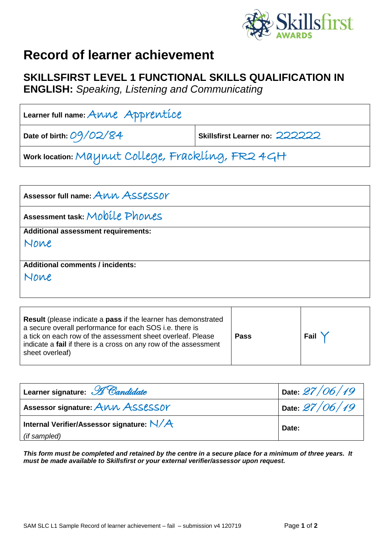

## **Record of learner achievement**

## **SKILLSFIRST LEVEL 1 FUNCTIONAL SKILLS QUALIFICATION IN**

**ENGLISH:** *Speaking, Listening and Communicating*

| Learner full name: $A\text{\textbackslash}$ M $A$ p $P$ r $P$ M $C\text{\textbackslash}$ |                                |  |
|------------------------------------------------------------------------------------------|--------------------------------|--|
| Date of birth: $O9/O2/\mathcal{8}4$                                                      | Skillsfirst Learner no: 222222 |  |
| work location: Maynut College, Frackling, FR2 4GH                                        |                                |  |

| Assessor full name: ANN ASSESSOY           |
|--------------------------------------------|
| Assessment task: Mobile Phones             |
| <b>Additional assessment requirements:</b> |
| None                                       |
|                                            |
| <b>Additional comments / incidents:</b>    |
| None                                       |
|                                            |

| <b>Result</b> (please indicate a <b>pass</b> if the learner has demonstrated<br>a secure overall performance for each SOS i.e. there is<br>a tick on each row of the assessment sheet overleaf. Please<br>indicate a fail if there is a cross on any row of the assessment<br>sheet overleaf) | <b>Pass</b> | Fail |
|-----------------------------------------------------------------------------------------------------------------------------------------------------------------------------------------------------------------------------------------------------------------------------------------------|-------------|------|
|-----------------------------------------------------------------------------------------------------------------------------------------------------------------------------------------------------------------------------------------------------------------------------------------------|-------------|------|

| Learner signature: H Candidate              | Date $27/06/19$ |  |
|---------------------------------------------|-----------------|--|
| Assessor signature: ANN ASSESSOY            | Date $27/06/19$ |  |
| Internal Verifier/Assessor signature: $N/A$ | Date:           |  |
| (if sampled)                                |                 |  |

*This form must be completed and retained by the centre in a secure place for a minimum of three years. It must be made available to Skillsfirst or your external verifier/assessor upon request.*